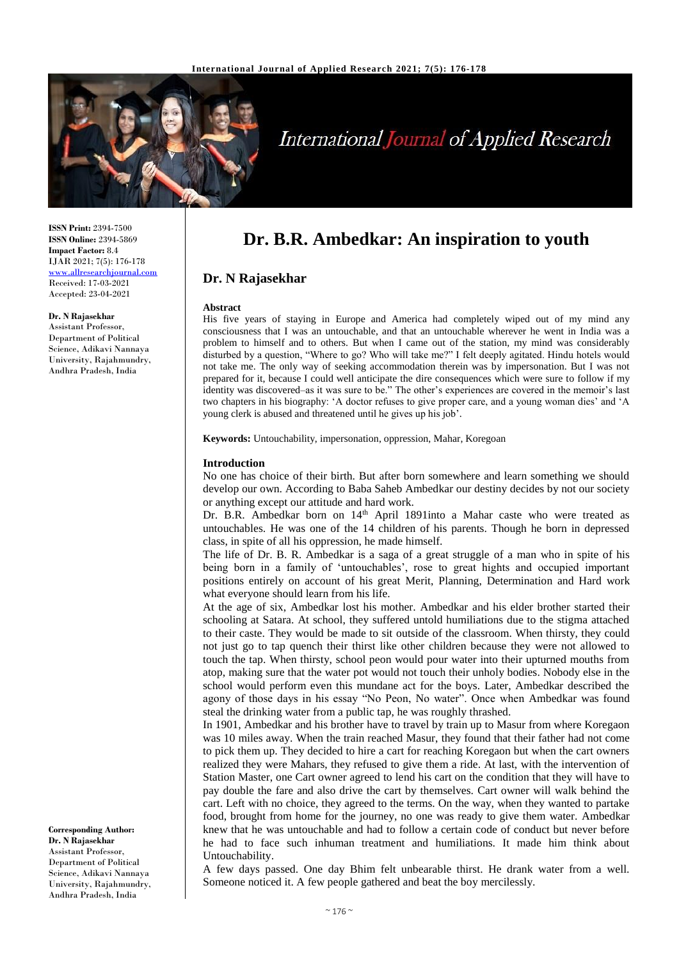

# **International Journal of Applied Research**

**ISSN Print:** 2394-7500 **ISSN Online:** 2394-5869 **Impact Factor:** 8.4 IJAR 2021; 7(5): 176-178 [www.allresearchjournal.com](http://www.allresearchjournal.com/) Received: 17-03-2021 Accepted: 23-04-2021

### **Dr. N Rajasekhar**

Assistant Professor, Department of Political Science, Adikavi Nannaya University, Rajahmundry, Andhra Pradesh, India

**Corresponding Author: Dr. N Rajasekhar** Assistant Professor, Department of Political Science, Adikavi Nannaya University, Rajahmundry, Andhra Pradesh, India

# **Dr. B.R. Ambedkar: An inspiration to youth**

# **Dr. N Rajasekhar**

#### **Abstract**

His five years of staying in Europe and America had completely wiped out of my mind any consciousness that I was an untouchable, and that an untouchable wherever he went in India was a problem to himself and to others. But when I came out of the station, my mind was considerably disturbed by a question, "Where to go? Who will take me?" I felt deeply agitated. Hindu hotels would not take me. The only way of seeking accommodation therein was by impersonation. But I was not prepared for it, because I could well anticipate the dire consequences which were sure to follow if my identity was discovered–as it was sure to be." The other's experiences are covered in the memoir's last two chapters in his biography: 'A doctor refuses to give proper care, and a young woman dies' and 'A young clerk is abused and threatened until he gives up his job'.

**Keywords:** Untouchability, impersonation, oppression, Mahar, Koregoan

#### **Introduction**

No one has choice of their birth. But after born somewhere and learn something we should develop our own. According to Baba Saheb Ambedkar our destiny decides by not our society or anything except our attitude and hard work.

Dr. B.R. Ambedkar born on 14<sup>th</sup> April 1891into a Mahar caste who were treated as untouchables. He was one of the 14 children of his parents. Though he born in depressed class, in spite of all his oppression, he made himself.

The life of Dr. B. R. Ambedkar is a saga of a great struggle of a man who in spite of his being born in a family of 'untouchables', rose to great hights and occupied important positions entirely on account of his great Merit, Planning, Determination and Hard work what everyone should learn from his life.

At the age of six, Ambedkar lost his mother. Ambedkar and his elder brother started their schooling at Satara. At school, they suffered untold humiliations due to the stigma attached to their caste. They would be made to sit outside of the classroom. When thirsty, they could not just go to tap quench their thirst like other children because they were not allowed to touch the tap. When thirsty, school peon would pour water into their upturned mouths from atop, making sure that the water pot would not touch their unholy bodies. Nobody else in the school would perform even this mundane act for the boys. Later, Ambedkar described the agony of those days in his essay "No Peon, No water". Once when Ambedkar was found steal the drinking water from a public tap, he was roughly thrashed.

In 1901, Ambedkar and his brother have to travel by train up to Masur from where Koregaon was 10 miles away. When the train reached Masur, they found that their father had not come to pick them up. They decided to hire a cart for reaching Koregaon but when the cart owners realized they were Mahars, they refused to give them a ride. At last, with the intervention of Station Master, one Cart owner agreed to lend his cart on the condition that they will have to pay double the fare and also drive the cart by themselves. Cart owner will walk behind the cart. Left with no choice, they agreed to the terms. On the way, when they wanted to partake food, brought from home for the journey, no one was ready to give them water. Ambedkar knew that he was untouchable and had to follow a certain code of conduct but never before he had to face such inhuman treatment and humiliations. It made him think about Untouchability.

A few days passed. One day Bhim felt unbearable thirst. He drank water from a well. Someone noticed it. A few people gathered and beat the boy mercilessly.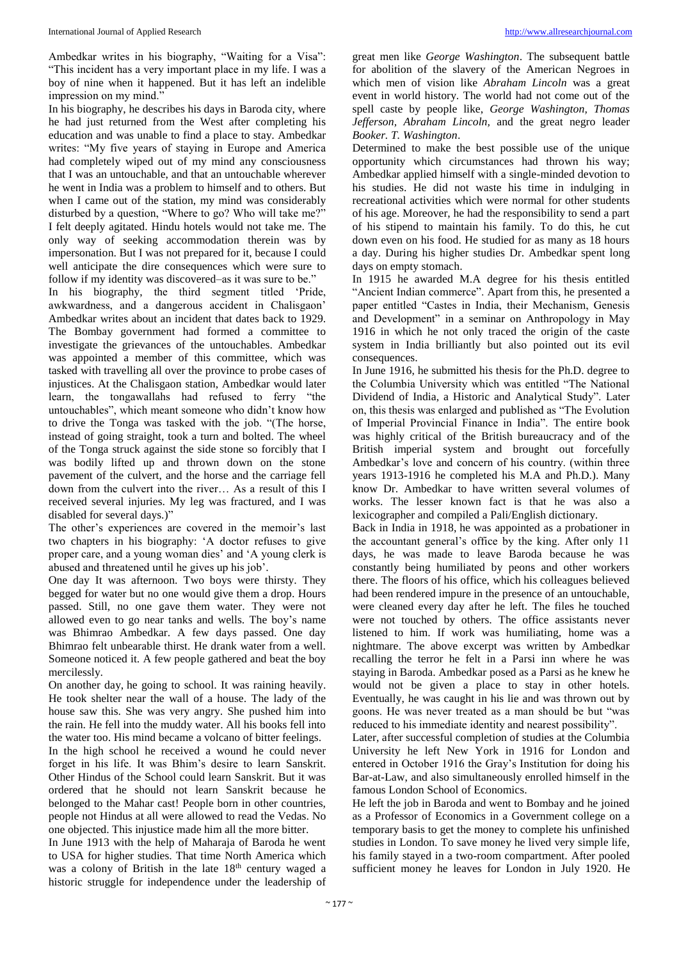Ambedkar writes in his biography, "Waiting for a Visa": "This incident has a very important place in my life. I was a boy of nine when it happened. But it has left an indelible impression on my mind."

In his biography, he describes his days in Baroda city, where he had just returned from the West after completing his education and was unable to find a place to stay. Ambedkar writes: "My five years of staying in Europe and America had completely wiped out of my mind any consciousness that I was an untouchable, and that an untouchable wherever he went in India was a problem to himself and to others. But when I came out of the station, my mind was considerably disturbed by a question, "Where to go? Who will take me?" I felt deeply agitated. Hindu hotels would not take me. The only way of seeking accommodation therein was by impersonation. But I was not prepared for it, because I could well anticipate the dire consequences which were sure to follow if my identity was discovered–as it was sure to be."

In his biography, the third segment titled 'Pride, awkwardness, and a dangerous accident in Chalisgaon' Ambedkar writes about an incident that dates back to 1929. The Bombay government had formed a committee to investigate the grievances of the untouchables. Ambedkar was appointed a member of this committee, which was tasked with travelling all over the province to probe cases of injustices. At the Chalisgaon station, Ambedkar would later learn, the tongawallahs had refused to ferry "the untouchables", which meant someone who didn't know how to drive the Tonga was tasked with the job. "(The horse, instead of going straight, took a turn and bolted. The wheel of the Tonga struck against the side stone so forcibly that I was bodily lifted up and thrown down on the stone pavement of the culvert, and the horse and the carriage fell down from the culvert into the river… As a result of this I received several injuries. My leg was fractured, and I was disabled for several days.)"

The other's experiences are covered in the memoir's last two chapters in his biography: 'A doctor refuses to give proper care, and a young woman dies' and 'A young clerk is abused and threatened until he gives up his job'.

One day It was afternoon. Two boys were thirsty. They begged for water but no one would give them a drop. Hours passed. Still, no one gave them water. They were not allowed even to go near tanks and wells. The boy's name was Bhimrao Ambedkar. A few days passed. One day Bhimrao felt unbearable thirst. He drank water from a well. Someone noticed it. A few people gathered and beat the boy mercilessly.

On another day, he going to school. It was raining heavily. He took shelter near the wall of a house. The lady of the house saw this. She was very angry. She pushed him into the rain. He fell into the muddy water. All his books fell into the water too. His mind became a volcano of bitter feelings. In the high school he received a wound he could never forget in his life. It was Bhim's desire to learn Sanskrit. Other Hindus of the School could learn Sanskrit. But it was ordered that he should not learn Sanskrit because he belonged to the Mahar cast! People born in other countries, people not Hindus at all were allowed to read the Vedas. No one objected. This injustice made him all the more bitter.

In June 1913 with the help of Maharaja of Baroda he went to USA for higher studies. That time North America which was a colony of British in the late 18<sup>th</sup> century waged a historic struggle for independence under the leadership of

great men like *George Washington*. The subsequent battle for abolition of the slavery of the American Negroes in which men of vision like *Abraham Lincoln* was a great event in world history. The world had not come out of the spell caste by people like, *George Washington, Thomas Jefferson, Abraham Lincoln,* and the great negro leader *Booker. T. Washington*.

Determined to make the best possible use of the unique opportunity which circumstances had thrown his way; Ambedkar applied himself with a single-minded devotion to his studies. He did not waste his time in indulging in recreational activities which were normal for other students of his age. Moreover, he had the responsibility to send a part of his stipend to maintain his family. To do this, he cut down even on his food. He studied for as many as 18 hours a day. During his higher studies Dr. Ambedkar spent long days on empty stomach.

In 1915 he awarded M.A degree for his thesis entitled "Ancient Indian commerce". Apart from this, he presented a paper entitled "Castes in India, their Mechanism, Genesis and Development" in a seminar on Anthropology in May 1916 in which he not only traced the origin of the caste system in India brilliantly but also pointed out its evil consequences.

In June 1916, he submitted his thesis for the Ph.D. degree to the Columbia University which was entitled "The National Dividend of India, a Historic and Analytical Study". Later on, this thesis was enlarged and published as "The Evolution of Imperial Provincial Finance in India". The entire book was highly critical of the British bureaucracy and of the British imperial system and brought out forcefully Ambedkar's love and concern of his country. (within three years 1913-1916 he completed his M.A and Ph.D.). Many know Dr. Ambedkar to have written several volumes of works. The lesser known fact is that he was also a lexicographer and compiled a Pali/English dictionary.

Back in India in 1918, he was appointed as a probationer in the accountant general's office by the king. After only 11 days, he was made to leave Baroda because he was constantly being humiliated by peons and other workers there. The floors of his office, which his colleagues believed had been rendered impure in the presence of an untouchable, were cleaned every day after he left. The files he touched were not touched by others. The office assistants never listened to him. If work was humiliating, home was a nightmare. The above excerpt was written by Ambedkar recalling the terror he felt in a Parsi inn where he was staying in Baroda. Ambedkar posed as a Parsi as he knew he would not be given a place to stay in other hotels. Eventually, he was caught in his lie and was thrown out by goons. He was never treated as a man should be but "was reduced to his immediate identity and nearest possibility".

Later, after successful completion of studies at the Columbia University he left New York in 1916 for London and entered in October 1916 the Gray's Institution for doing his Bar-at-Law, and also simultaneously enrolled himself in the famous London School of Economics.

He left the job in Baroda and went to Bombay and he joined as a Professor of Economics in a Government college on a temporary basis to get the money to complete his unfinished studies in London. To save money he lived very simple life, his family stayed in a two-room compartment. After pooled sufficient money he leaves for London in July 1920. He